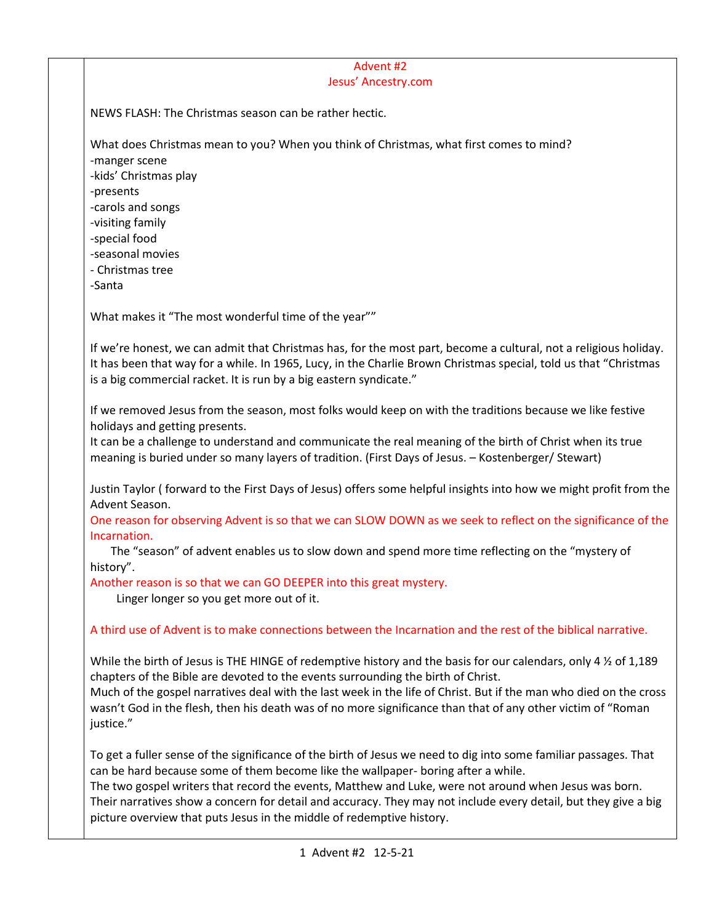## Advent #2 Jesus' Ancestry.com

NEWS FLASH: The Christmas season can be rather hectic.

What does Christmas mean to you? When you think of Christmas, what first comes to mind?

-manger scene -kids' Christmas play

-presents

-carols and songs

-visiting family

-special food

-seasonal movies

- Christmas tree

-Santa

What makes it "The most wonderful time of the year""

If we're honest, we can admit that Christmas has, for the most part, become a cultural, not a religious holiday. It has been that way for a while. In 1965, Lucy, in the Charlie Brown Christmas special, told us that "Christmas is a big commercial racket. It is run by a big eastern syndicate."

If we removed Jesus from the season, most folks would keep on with the traditions because we like festive holidays and getting presents.

It can be a challenge to understand and communicate the real meaning of the birth of Christ when its true meaning is buried under so many layers of tradition. (First Days of Jesus. – Kostenberger/ Stewart)

Justin Taylor ( forward to the First Days of Jesus) offers some helpful insights into how we might profit from the Advent Season.

One reason for observing Advent is so that we can SLOW DOWN as we seek to reflect on the significance of the Incarnation.

 The "season" of advent enables us to slow down and spend more time reflecting on the "mystery of history".

Another reason is so that we can GO DEEPER into this great mystery.

Linger longer so you get more out of it.

A third use of Advent is to make connections between the Incarnation and the rest of the biblical narrative.

While the birth of Jesus is THE HINGE of redemptive history and the basis for our calendars, only 4  $\frac{1}{2}$  of 1,189 chapters of the Bible are devoted to the events surrounding the birth of Christ.

Much of the gospel narratives deal with the last week in the life of Christ. But if the man who died on the cross wasn't God in the flesh, then his death was of no more significance than that of any other victim of "Roman justice."

To get a fuller sense of the significance of the birth of Jesus we need to dig into some familiar passages. That can be hard because some of them become like the wallpaper- boring after a while.

The two gospel writers that record the events, Matthew and Luke, were not around when Jesus was born. Their narratives show a concern for detail and accuracy. They may not include every detail, but they give a big picture overview that puts Jesus in the middle of redemptive history.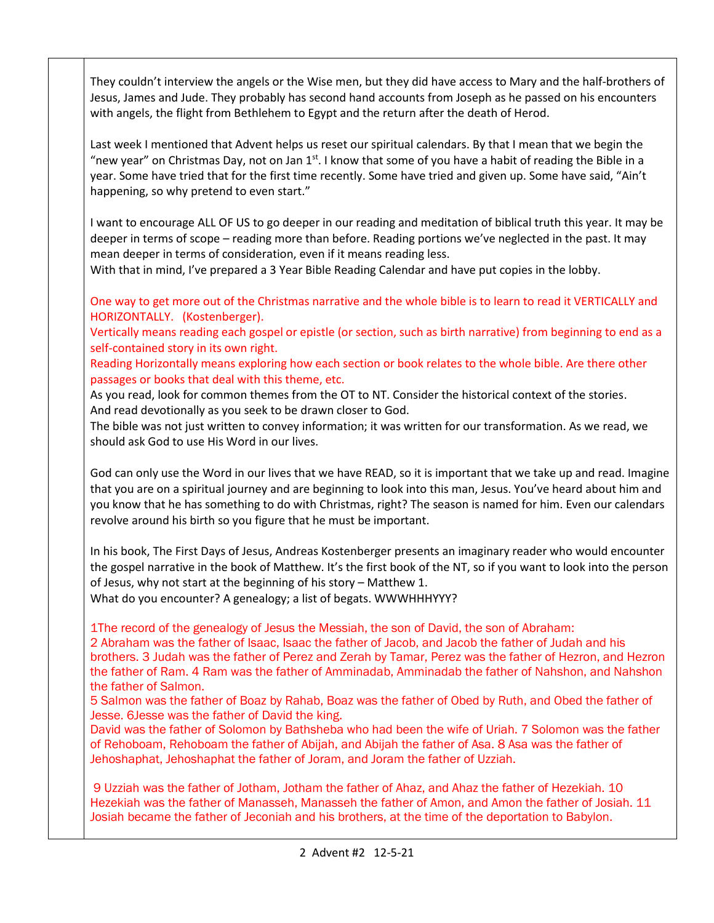They couldn't interview the angels or the Wise men, but they did have access to Mary and the half-brothers of Jesus, James and Jude. They probably has second hand accounts from Joseph as he passed on his encounters with angels, the flight from Bethlehem to Egypt and the return after the death of Herod.

Last week I mentioned that Advent helps us reset our spiritual calendars. By that I mean that we begin the "new year" on Christmas Day, not on Jan 1st. I know that some of you have a habit of reading the Bible in a year. Some have tried that for the first time recently. Some have tried and given up. Some have said, "Ain't happening, so why pretend to even start."

I want to encourage ALL OF US to go deeper in our reading and meditation of biblical truth this year. It may be deeper in terms of scope – reading more than before. Reading portions we've neglected in the past. It may mean deeper in terms of consideration, even if it means reading less.

With that in mind, I've prepared a 3 Year Bible Reading Calendar and have put copies in the lobby.

One way to get more out of the Christmas narrative and the whole bible is to learn to read it VERTICALLY and HORIZONTALLY. (Kostenberger).

Vertically means reading each gospel or epistle (or section, such as birth narrative) from beginning to end as a self-contained story in its own right.

Reading Horizontally means exploring how each section or book relates to the whole bible. Are there other passages or books that deal with this theme, etc.

As you read, look for common themes from the OT to NT. Consider the historical context of the stories. And read devotionally as you seek to be drawn closer to God.

The bible was not just written to convey information; it was written for our transformation. As we read, we should ask God to use His Word in our lives.

God can only use the Word in our lives that we have READ, so it is important that we take up and read. Imagine that you are on a spiritual journey and are beginning to look into this man, Jesus. You've heard about him and you know that he has something to do with Christmas, right? The season is named for him. Even our calendars revolve around his birth so you figure that he must be important.

In his book, The First Days of Jesus, Andreas Kostenberger presents an imaginary reader who would encounter the gospel narrative in the book of Matthew. It's the first book of the NT, so if you want to look into the person of Jesus, why not start at the beginning of his story – Matthew 1.

What do you encounter? A genealogy; a list of begats. WWWHHHYYY?

1The record of the genealogy of Jesus the Messiah, the son of David, the son of Abraham:

2 Abraham was the father of Isaac, Isaac the father of Jacob, and Jacob the father of Judah and his brothers. 3 Judah was the father of Perez and Zerah by Tamar, Perez was the father of Hezron, and Hezron the father of Ram. 4 Ram was the father of Amminadab, Amminadab the father of Nahshon, and Nahshon the father of Salmon.

5 Salmon was the father of Boaz by Rahab, Boaz was the father of Obed by Ruth, and Obed the father of Jesse. 6Jesse was the father of David the king.

David was the father of Solomon by Bathsheba who had been the wife of Uriah. 7 Solomon was the father of Rehoboam, Rehoboam the father of Abijah, and Abijah the father of Asa. 8 Asa was the father of Jehoshaphat, Jehoshaphat the father of Joram, and Joram the father of Uzziah.

9 Uzziah was the father of Jotham, Jotham the father of Ahaz, and Ahaz the father of Hezekiah. 10 Hezekiah was the father of Manasseh, Manasseh the father of Amon, and Amon the father of Josiah. 11 Josiah became the father of Jeconiah and his brothers, at the time of the deportation to Babylon.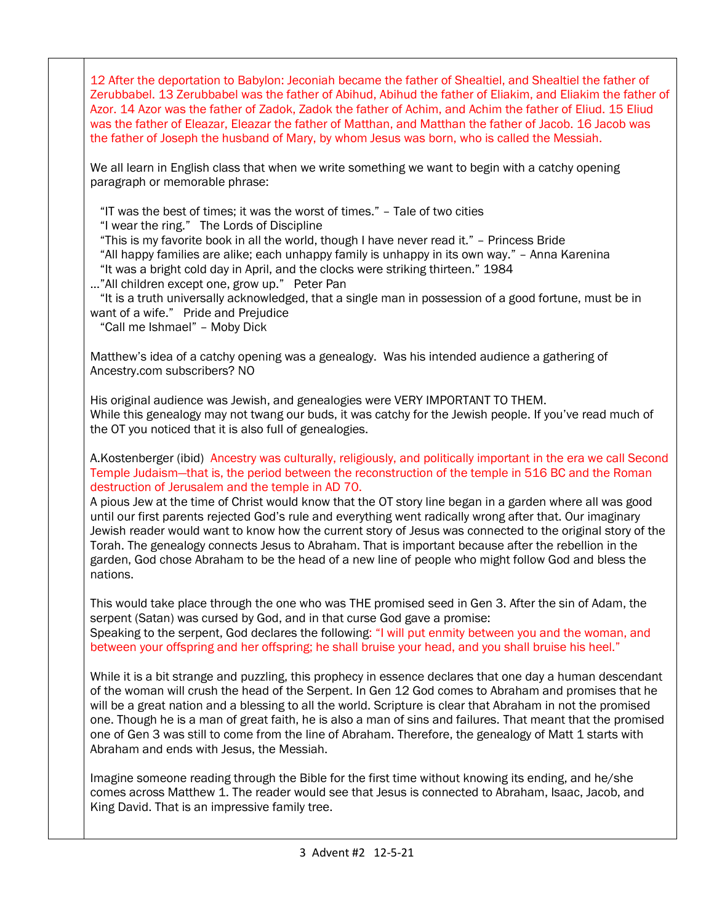12 After the deportation to Babylon: Jeconiah became the father of Shealtiel, and Shealtiel the father of Zerubbabel. 13 Zerubbabel was the father of Abihud, Abihud the father of Eliakim, and Eliakim the father of Azor. 14 Azor was the father of Zadok, Zadok the father of Achim, and Achim the father of Eliud. 15 Eliud was the father of Eleazar, Eleazar the father of Matthan, and Matthan the father of Jacob. 16 Jacob was the father of Joseph the husband of Mary, by whom Jesus was born, who is called the Messiah.

We all learn in English class that when we write something we want to begin with a catchy opening paragraph or memorable phrase:

"IT was the best of times; it was the worst of times." – Tale of two cities

"I wear the ring." The Lords of Discipline

"This is my favorite book in all the world, though I have never read it." – Princess Bride

"All happy families are alike; each unhappy family is unhappy in its own way." – Anna Karenina

"It was a bright cold day in April, and the clocks were striking thirteen." 1984

…"All children except one, grow up." Peter Pan

 "It is a truth universally acknowledged, that a single man in possession of a good fortune, must be in want of a wife." Pride and Prejudice

"Call me Ishmael" – Moby Dick

Matthew's idea of a catchy opening was a genealogy. Was his intended audience a gathering of Ancestry.com subscribers? NO

His original audience was Jewish, and genealogies were VERY IMPORTANT TO THEM. While this genealogy may not twang our buds, it was catchy for the Jewish people. If you've read much of the OT you noticed that it is also full of genealogies.

A.Kostenberger (ibid) Ancestry was culturally, religiously, and politically important in the era we call Second Temple Judaism—that is, the period between the reconstruction of the temple in 516 BC and the Roman destruction of Jerusalem and the temple in AD 70.

A pious Jew at the time of Christ would know that the OT story line began in a garden where all was good until our first parents rejected God's rule and everything went radically wrong after that. Our imaginary Jewish reader would want to know how the current story of Jesus was connected to the original story of the Torah. The genealogy connects Jesus to Abraham. That is important because after the rebellion in the garden, God chose Abraham to be the head of a new line of people who might follow God and bless the nations.

This would take place through the one who was THE promised seed in Gen 3. After the sin of Adam, the serpent (Satan) was cursed by God, and in that curse God gave a promise: Speaking to the serpent, God declares the following: "I will put enmity between you and the woman, and between your offspring and her offspring; he shall bruise your head, and you shall bruise his heel."

While it is a bit strange and puzzling, this prophecy in essence declares that one day a human descendant of the woman will crush the head of the Serpent. In Gen 12 God comes to Abraham and promises that he will be a great nation and a blessing to all the world. Scripture is clear that Abraham in not the promised one. Though he is a man of great faith, he is also a man of sins and failures. That meant that the promised one of Gen 3 was still to come from the line of Abraham. Therefore, the genealogy of Matt 1 starts with Abraham and ends with Jesus, the Messiah.

Imagine someone reading through the Bible for the first time without knowing its ending, and he/she comes across Matthew 1. The reader would see that Jesus is connected to Abraham, Isaac, Jacob, and King David. That is an impressive family tree.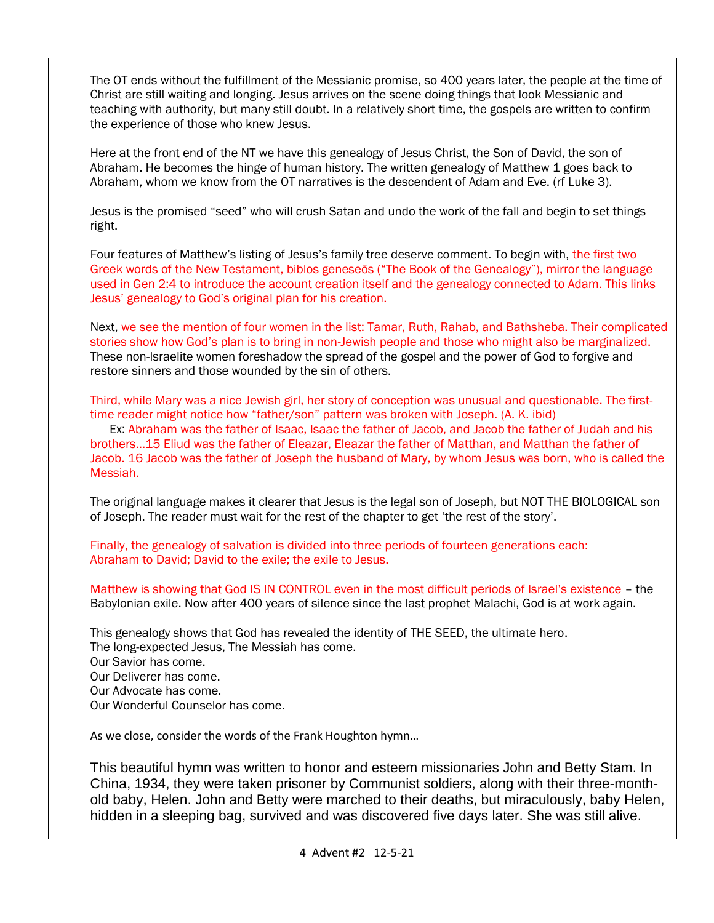The OT ends without the fulfillment of the Messianic promise, so 400 years later, the people at the time of Christ are still waiting and longing. Jesus arrives on the scene doing things that look Messianic and teaching with authority, but many still doubt. In a relatively short time, the gospels are written to confirm the experience of those who knew Jesus.

Here at the front end of the NT we have this genealogy of Jesus Christ, the Son of David, the son of Abraham. He becomes the hinge of human history. The written genealogy of Matthew 1 goes back to Abraham, whom we know from the OT narratives is the descendent of Adam and Eve. (rf Luke 3).

Jesus is the promised "seed" who will crush Satan and undo the work of the fall and begin to set things right.

Four features of Matthew's listing of Jesus's family tree deserve comment. To begin with, the first two Greek words of the New Testament, biblos geneseōs ("The Book of the Genealogy"), mirror the language used in Gen 2:4 to introduce the account creation itself and the genealogy connected to Adam. This links Jesus' genealogy to God's original plan for his creation.

Next, we see the mention of four women in the list: Tamar, Ruth, Rahab, and Bathsheba. Their complicated stories show how God's plan is to bring in non-Jewish people and those who might also be marginalized. These non-Israelite women foreshadow the spread of the gospel and the power of God to forgive and restore sinners and those wounded by the sin of others.

Third, while Mary was a nice Jewish girl, her story of conception was unusual and questionable. The firsttime reader might notice how "father/son" pattern was broken with Joseph. (A. K. ibid)

 Ex: Abraham was the father of Isaac, Isaac the father of Jacob, and Jacob the father of Judah and his brothers…15 Eliud was the father of Eleazar, Eleazar the father of Matthan, and Matthan the father of Jacob. 16 Jacob was the father of Joseph the husband of Mary, by whom Jesus was born, who is called the Messiah.

The original language makes it clearer that Jesus is the legal son of Joseph, but NOT THE BIOLOGICAL son of Joseph. The reader must wait for the rest of the chapter to get 'the rest of the story'.

Finally, the genealogy of salvation is divided into three periods of fourteen generations each: Abraham to David; David to the exile; the exile to Jesus.

Matthew is showing that God IS IN CONTROL even in the most difficult periods of Israel's existence – the Babylonian exile. Now after 400 years of silence since the last prophet Malachi, God is at work again.

This genealogy shows that God has revealed the identity of THE SEED, the ultimate hero. The long-expected Jesus, The Messiah has come. Our Savior has come. Our Deliverer has come. Our Advocate has come. Our Wonderful Counselor has come.

As we close, consider the words of the Frank Houghton hymn…

This beautiful hymn was written to honor and esteem missionaries John and Betty Stam. In China, 1934, they were taken prisoner by Communist soldiers, along with their three-monthold baby, Helen. John and Betty were marched to their deaths, but miraculously, baby Helen, hidden in a sleeping bag, survived and was discovered five days later. She was still alive.